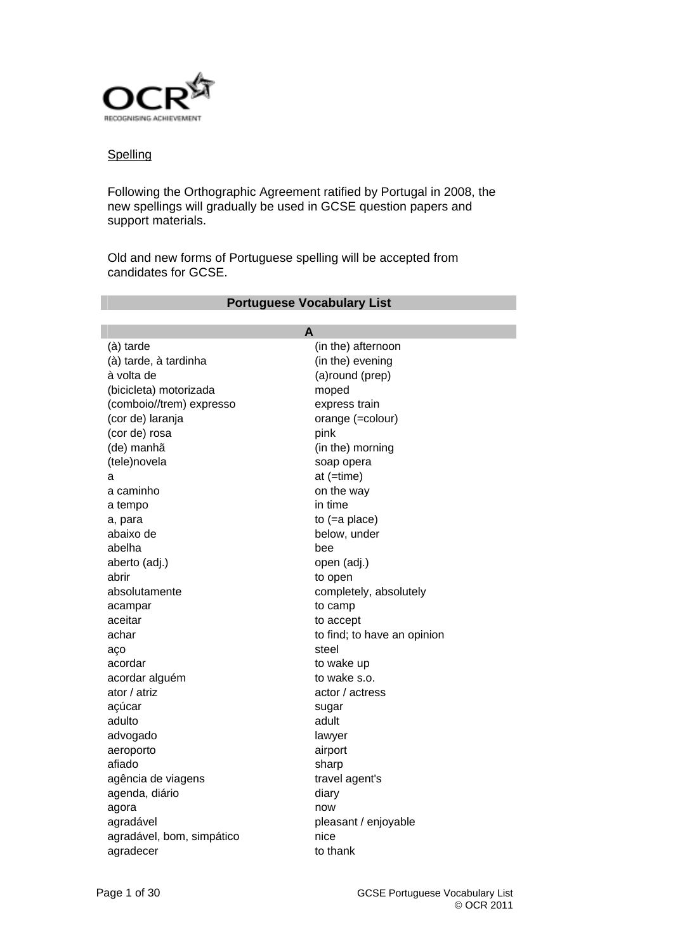

# **Spelling**

Following the Orthographic Agreement ratified by Portugal in 2008, the new spellings will gradually be used in GCSE question papers and support materials.

**Portuguese Vocabulary List** 

Old and new forms of Portuguese spelling will be accepted from candidates for GCSE.

|                           | A                           |
|---------------------------|-----------------------------|
| (à) tarde                 | (in the) afternoon          |
| (à) tarde, à tardinha     | (in the) evening            |
| à volta de                | (a)round (prep)             |
| (bicicleta) motorizada    | moped                       |
| (comboio//trem) expresso  | express train               |
| (cor de) laranja          | orange (=colour)            |
| (cor de) rosa             | pink                        |
| (de) manhã                | (in the) morning            |
| (tele)novela              | soap opera                  |
| a                         | at $($ =time $)$            |
| a caminho                 | on the way                  |
| a tempo                   | in time                     |
| a, para                   | to $(=a$ place)             |
| abaixo de                 | below, under                |
| abelha                    | bee                         |
| aberto (adj.)             | open (adj.)                 |
| abrir                     | to open                     |
| absolutamente             | completely, absolutely      |
| acampar                   | to camp                     |
| aceitar                   | to accept                   |
| achar                     | to find; to have an opinion |
| aço                       | steel                       |
| acordar                   | to wake up                  |
| acordar alguém            | to wake s.o.                |
| ator / atriz              | actor / actress             |
| açúcar                    | sugar                       |
| adulto                    | adult                       |
| advogado                  | lawyer                      |
| aeroporto                 | airport                     |
| afiado                    | sharp                       |
| agência de viagens        | travel agent's              |
| agenda, diário            | diary                       |
| agora                     | now                         |
| agradável                 | pleasant / enjoyable        |
| agradável, bom, simpático | nice                        |
| agradecer                 | to thank                    |
|                           |                             |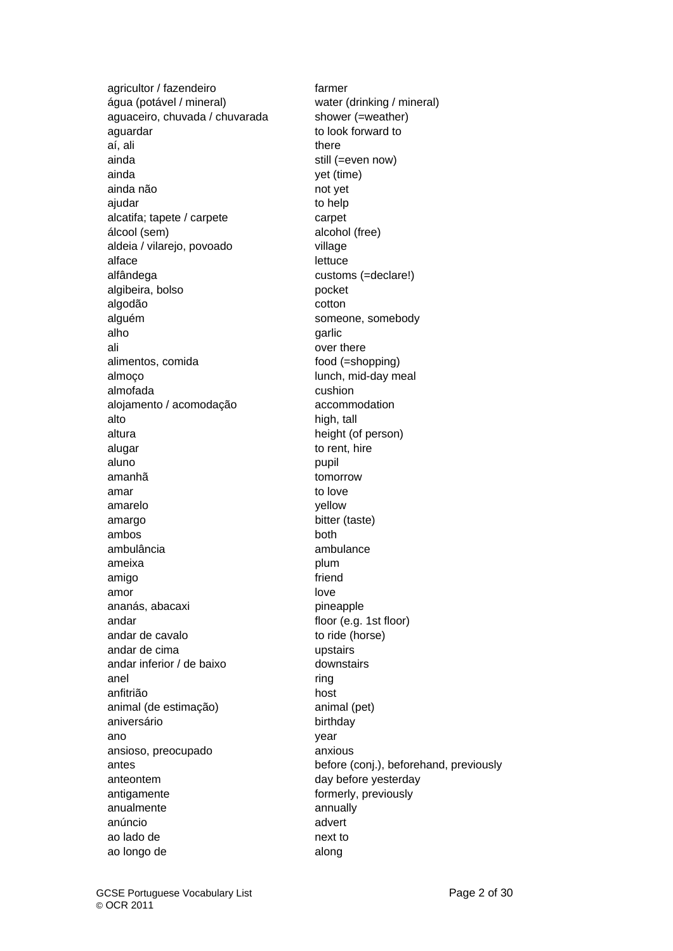agricultor / fazendeiro farmer água (potável / mineral) water (drinking / mineral) aguaceiro, chuvada / chuvarada shower (=weather) aguardar to look forward to look forward to aí, ali there are there are there are there are there are there are there are there are there are there are the ainda still (=even now) ainda yet (time) ainda não not yet ajudar **the contract of the contract of the contract of the contract of the contract of the contract of the contract of the contract of the contract of the contract of the contract of the contract of the contract of the co** alcatifa; tapete / carpete carpet álcool (sem) alcohol (free) aldeia / vilarejo, povoado village alface lettuce alfândega customs (=declare!) algibeira, bolso pocket algodão cotton alguém someone, somebody alho garlic garlic garlic garlice ali over there alimentos, comida food (=shopping) almoço lunch, mid-day meal almofada cushion alojamento / acomodação accommodation alto high, tall altura height (of person) alugar to rent, hire aluno pupil pupil aluno pupil pupil aluno pupil pupil aluno pupil pupil aluno pupil pupil aluno pupil aluno pu amanhã tomorrow amar to love amarelo yellow amargo bitter (taste) ambos both ambulância ambulance ameixa **plum** amigo friend amor love ananás, abacaxi pineapple andar floor (e.g. 1st floor) andar de cavalo to ride (horse) andar de cima version de component de component de la proponent de la proponent de la proponent de la proponen<br>
antique de la proponent de la proponent de la proponent de la proponent de la proponent de la proponent de la andar inferior / de baixo downstairs anel **and** ring anfitrião host animal (de estimação) animal (pet) aniversário **birthday** ano year ansioso, preocupado anxious anteontem day before yesterday antigamente **formerly**, previously anualmente annually anúncio advert ao lado de next to ao longo de along

antes before (conj.), beforehand, previously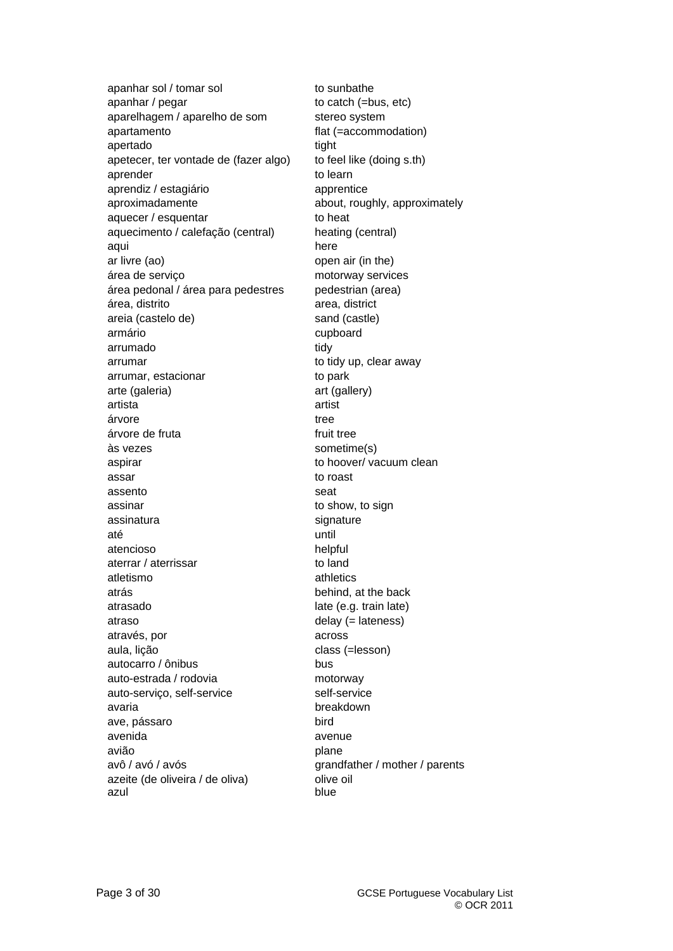apanhar sol / tomar sol to sunbathe apanhar / pegar to catch (=bus, etc) aparelhagem / aparelho de som stereo system apartamento flat (=accommodation) apertado tight apetecer, ter vontade de (fazer algo) to feel like (doing s.th) aprender to learn to learn aprendiz / estagiário apprentice aproximadamente about, roughly, approximately aquecer / esquentar to heat aquecimento / calefação (central) heating (central) aqui **here** ar livre (ao) open air (in the) área de serviço motorway services área pedonal / área para pedestres pedestrian (area) área, distrito area, district areia (castelo de) sand (castle) armário cupboard arrumado tidy arrumar to tidy up, clear away arrumar, estacionar to park arte (galeria) art (gallery) artista artist árvore tree árvore de fruta fruit tree às vezes sometime(s) aspirar to hoover/ vacuum clean assar to roast assento seat assinar to show, to sign assinatura signature signature até until atencioso helpful aterrar / aterrissar to land atletismo athletics atrás behind, at the back atrasado late (e.g. train late) atraso delay (= lateness) através, por across aula, lição class (=lesson) autocarro / ônibus bus bus auto-estrada / rodovia motorway auto-serviço, self-service self-service avaria breakdown ave, pássaro bird avenida avenue avião plane avô / avó / avós grandfather / mother / parents azeite (de oliveira / de oliva) olive oil azul blue blue blue blue blue blue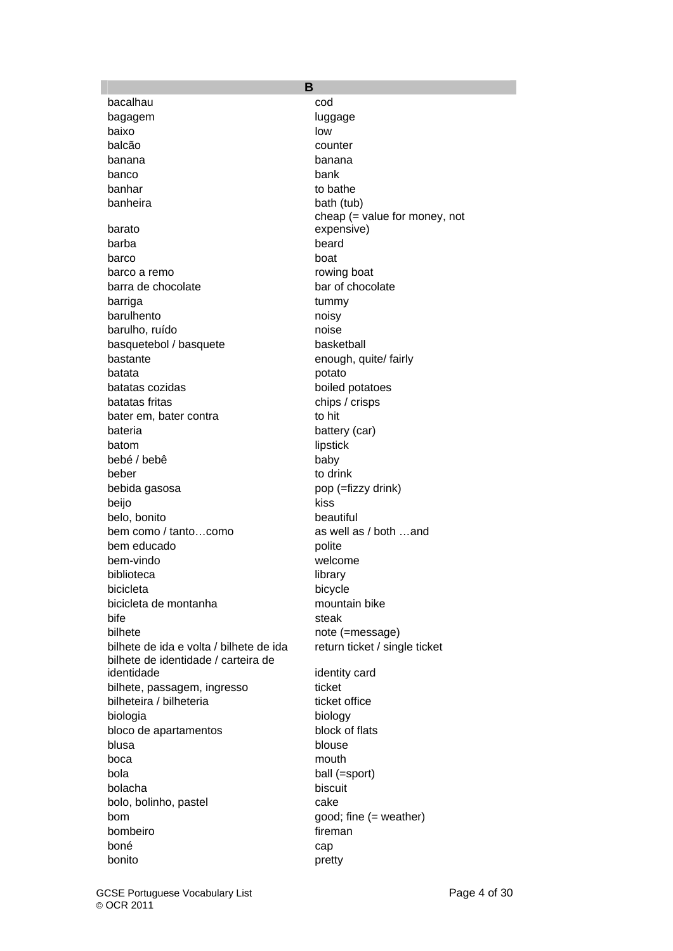bacalhau cod bagagem and luggage luggage baixo low balcão counter banana banana banco bank banhar to bathe banheira banketa bath (tub) barato barba beard barco boat barco a remo rowing boat barra de chocolate bar of chocolate barriga tummy barulhento noisy barulho, ruído noise basquetebol / basquete basketball bastante enough, quite/ fairly batata **potato** potato batatas cozidas boiled potatoes batatas fritas chips / crisps bater em, bater contra to hit bateria battery (car) batom lipstick bebé / bebê baby beber to drink bebida gasosa pop (=fizzy drink) beijo kiss belo, bonito beautiful bem como / tanto...como as well as / both ...and bem educado polite bem-vindo welcome biblioteca library bicicleta bicycle bicicleta de montanha mountain bike bife steak bilhete note (=message) bilhete de ida e volta / bilhete de ida return ticket / single ticket bilhete de identidade / carteira de bilhete, passagem, ingresso ticket bilheteira / bilheteria ticket office biologia biology bloco de apartamentos block of flats blusa blouse blouse boca mouth and mouth mouth bola ball (=sport) bolacha biscuit bolo, bolinho, pastel cake bom good; fine (= weather) bombeiro **fireman** boné cap bonito pretty

**B**  cheap (= value for money, not expensive) identity card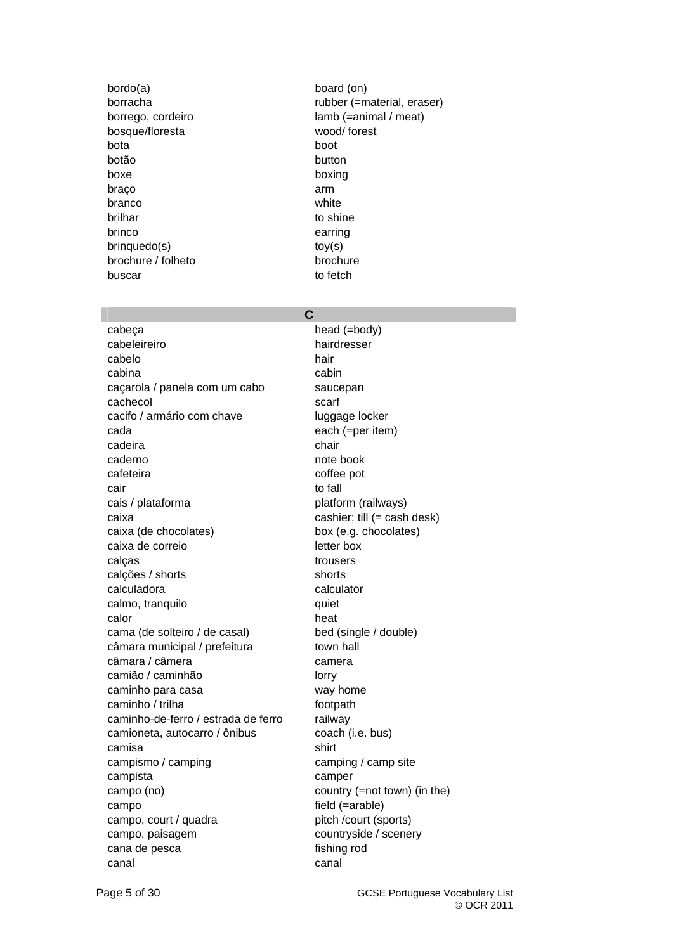bordo(a) board (on) bosque/floresta wood/ forest bota boot botão button boxe boxing braço arm branco white brilhar to shine brinco earring brinquedo(s) toy(s) brochure / folheto brochure buscar to fetch buscar

borracha rubber (=material, eraser) borrego, cordeiro lamb (=animal / meat)

# **C**

cabeça head (=body) cabeleireiro **hairdresser** cabelo hair cabina cabina cabina cabina cabina cabina cabina cabina cabina cabina cabina cabina cabina cabina cabina cabin caçarola / panela com um cabo saucepan cachecol scarf cacifo / armário com chave luggage locker cada each (=per item) cadeira **chair** chair caderno note book cafeteira coffee pot cair to fall cais / plataforma platform (railways) caixa cashier; till (= cash desk) caixa (de chocolates) box (e.g. chocolates) caixa de correio letter box calças trousers trousers calções / shorts shorts calculadora calculator calmo, tranquilo quiet calor heat the control of the control of the control of the control of the control of the control of the control of the control of the control of the control of the control of the control of the control of the control of t cama (de solteiro / de casal) bed (single / double) câmara municipal / prefeitura town hall câmara / câmera camera camera camião / caminhão lorry caminho para casa way home caminho / trilha footpath caminho-de-ferro / estrada de ferro railway camioneta, autocarro / ônibus coach (i.e. bus) camisa shirt campismo / camping camping / camp site campista camper campo (no) country (=not town) (in the) campo field (=arable) campo, court / quadra pitch /court (sports) campo, paisagem countryside / scenery cana de pesca fishing rod canal canal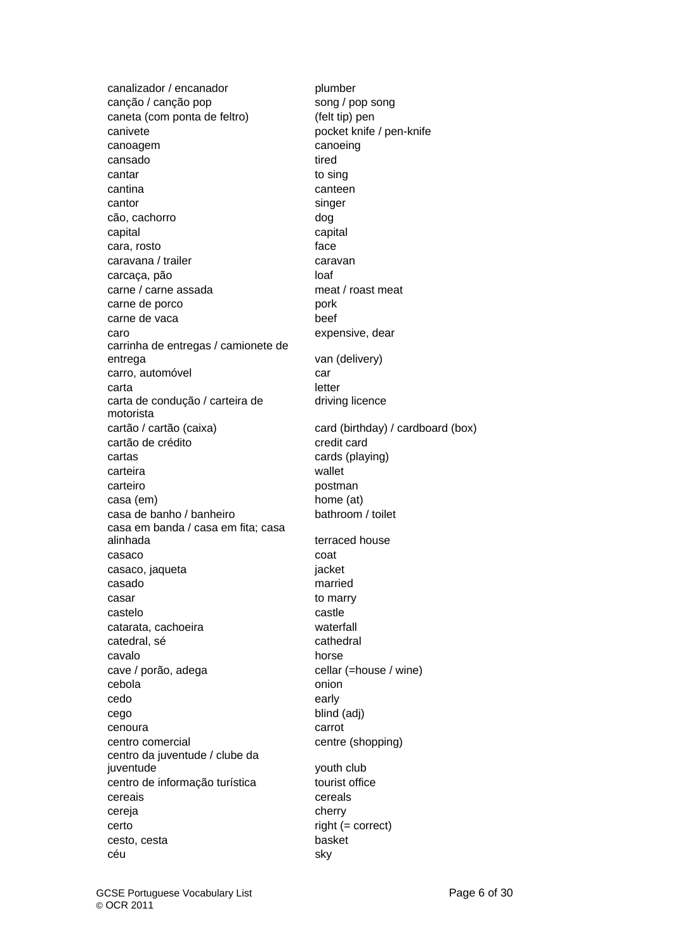canalizador / encanador plumber canção / canção pop song / pop song caneta (com ponta de feltro) (felt tip) pen canivete **pocket** knife / pen-knife canoagem canoeing cansado tired cantar to sing cantina canteen cantor singer cão, cachorro dog capital capital cara, rosto face caravana / trailer caravan carcaça, pão loaf carne / carne assada meat / roast meat carne de porco pork carne de vaca beef caro expensive, dear carrinha de entregas / camionete de carro, automóvel car carta entre letter and the letter carta de condução / carteira de motorista cartão / cartão (caixa) card (birthday) / cardboard (box) cartão de crédito card cartas cards (playing) carteira wallet carteiro **postman** casa (em) home (at) casa de banho / banheiro bathroom / toilet casa em banda / casa em fita; casa alinhada terraced house casaco coat casaco, jaqueta internacional internacional de la internacional internacional internacional internacional inter casado married casar to marry castelo **castelo** castle catarata, cachoeira waterfall catedral, sé cathedral cavalo horse horse cave / porão, adega cellar (=house / wine) cebola **onion** cedo early early cego blind (adj) cenoura carrot centro comercial centre (shopping) centro da juventude / clube da juventude youth club centro de informação turística tourist office cereais cereals cereja cherry cherry certo right (= correct) cesto, cesta basket céu sky

van (delivery) driving licence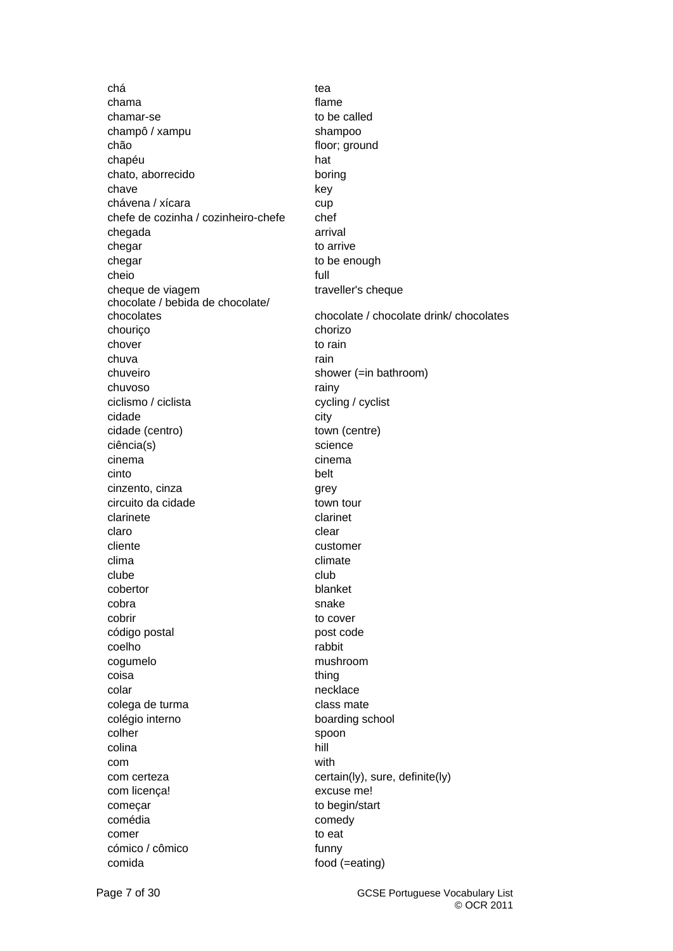chá tea chama flame chamar-se to be called champô / xampu shampoo chão floor; ground chapéu hat chato, aborrecido boring chave key chávena / xícara cup chefe de cozinha / cozinheiro-chefe chef chegada arrival chegar to arrive chegar to be enough cheio full cheque de viagem traveller's cheque chocolate / bebida de chocolate/ chouriço chorizo chover to rain chuva rain and the chuva rain chuveiro shower (=in bathroom) chuvoso rainy rainy ciclismo / ciclista cycling / cyclist cidade city cidade (centro) town (centre) ciência(s) science cinema cinema cinto belt cinzento, cinza qrey circuito da cidade town tour clarinete clarinet claro clear clear clear clear cliente customer clima climate climate clube club club cobertor blanket cobra snake snake snake cobrir to cover código postal **post code** coelho rabbit cogumelo mushroom coisa thing colar necklace necklace colega de turma colega de turma colégio interno boarding school colher spoon spoon colina hill hill because the base of the base of the base of the base of the base of the base of the base of the base of the base of the base of the base of the base of the base of the base of the base of the base of the b com with com certeza com certain(ly), sure, definite(ly) com licença! excuse me! começar to begin/start comédia comedy comer to eat cómico / cômico **funny** comida food (=eating)

chocolate / chocolate drink/ chocolates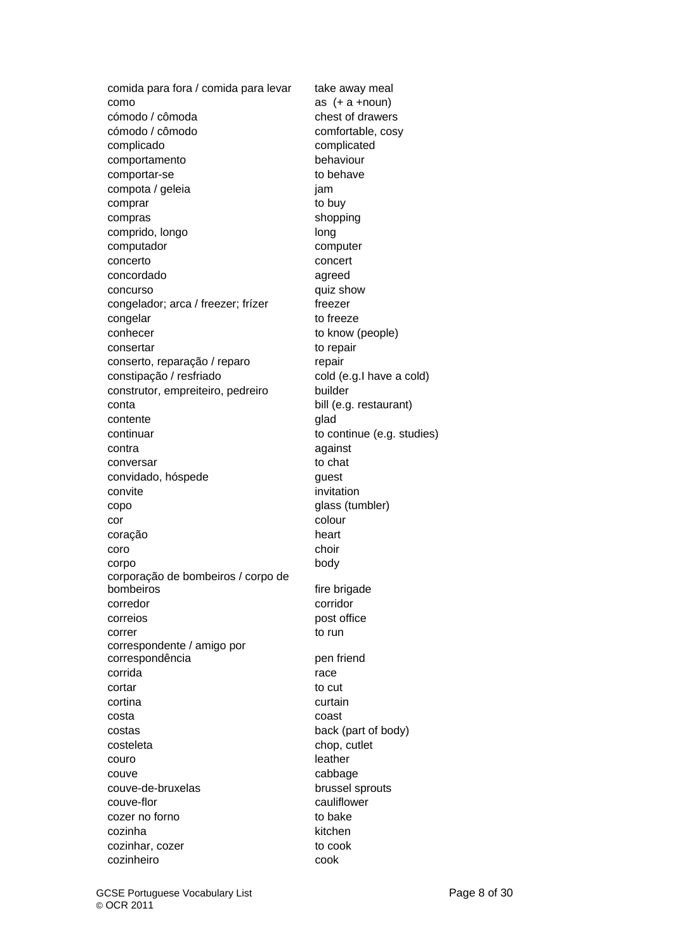comida para fora / comida para levar take away meal como as (+ a +noun) cómodo / cômoda chest of drawers cómodo / cômodo comfortable, cosy complicado complicated comportamento behaviour comportar-se to behave compota / geleia jam comprar to buy compras shopping comprido, longo longo long computador computer concerto concert concordado agreed concurso quiz show congelador; arca / freezer; frízer freezer congelar to freeze conhecer to know (people) consertar to repair conserto, reparação / reparo repair constipação / resfriado cold (e.g.I have a cold) construtor, empreiteiro, pedreiro builder conta bill (e.g. restaurant) contente qlad continuar to continue (e.g. studies) contra against conversar to chat convidado, hóspede quest convite invitation copo glass (tumbler) cor colour coração heart coro choir choir choir choir choir choir choir choir choir choir choir choir choir choir choir choir choir cho corpo body corporação de bombeiros / corpo de bombeiros fire brigade corredor corridor correios **post office** correr to run to run to run to run to run to run to run to run to run to run to run to run to run to run to run correspondente / amigo por correspondência pen friend corrida **race** cortar to cut cortina curtain costa coast costas back (part of body) costeleta costeleta chop, cutlet couro **leather** couve cabbage couve-de-bruxelas brussel sprouts couve-flor cauliflower cozer no forno to bake cozinha kitchen cozinhar, cozer to cook cozinheiro cook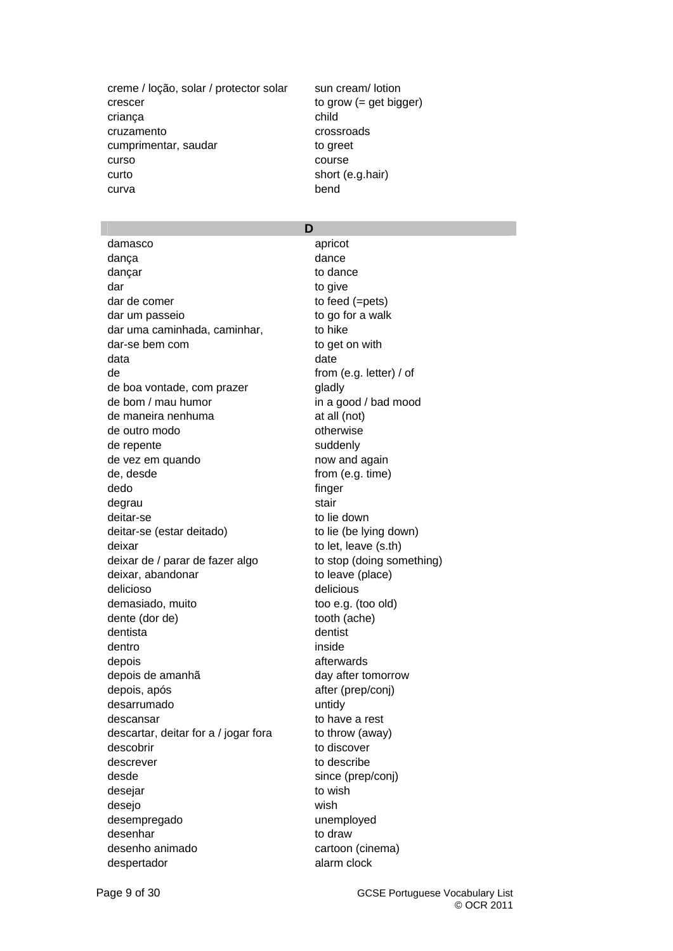creme / loção, solar / protector solar sun cream/ lotion crescer to grow (= get bigger) criança child cruzamento crossroads cumprimentar, saudar to greet curso course curto short (e.g.hair) curva bend

# **D**

damasco apricot danca dance dance dancar dance to dance dar to give dar de comer to feed (=pets) dar um passeio to go for a walk dar uma caminhada, caminhar, to hike dar-se bem com to get on with data date de from (e.g. letter) / of de boa vontade, com prazer **gladly** de bom / mau humor in a good / bad mood de maneira nenhuma at all (not) de outro modo otherwise de repente suddenly de vez em quando now and again de, desde from (e.g. time) dedo finger degrau stair stair stair deitar-se to lie down deitar-se (estar deitado) to lie (be lying down) deixar to let, leave (s.th) deixar de / parar de fazer algo to stop (doing something) deixar, abandonar to leave (place) delicioso delicious demasiado, muito too e.g. (too old) dente (dor de) tooth (ache) dentista dentist dentro inside depois afterwards depois de amanhã day after tomorrow depois, após after (prep/conj) desarrumado untidv descansar to have a rest descartar, deitar for a / jogar fora to throw (away) descobrir to discover descrever to describe desde since (prep/conj) desejar to wish desejo wish desempregado unemployed desenhar to draw desenho animado cartoon (cinema) despertador alarm clock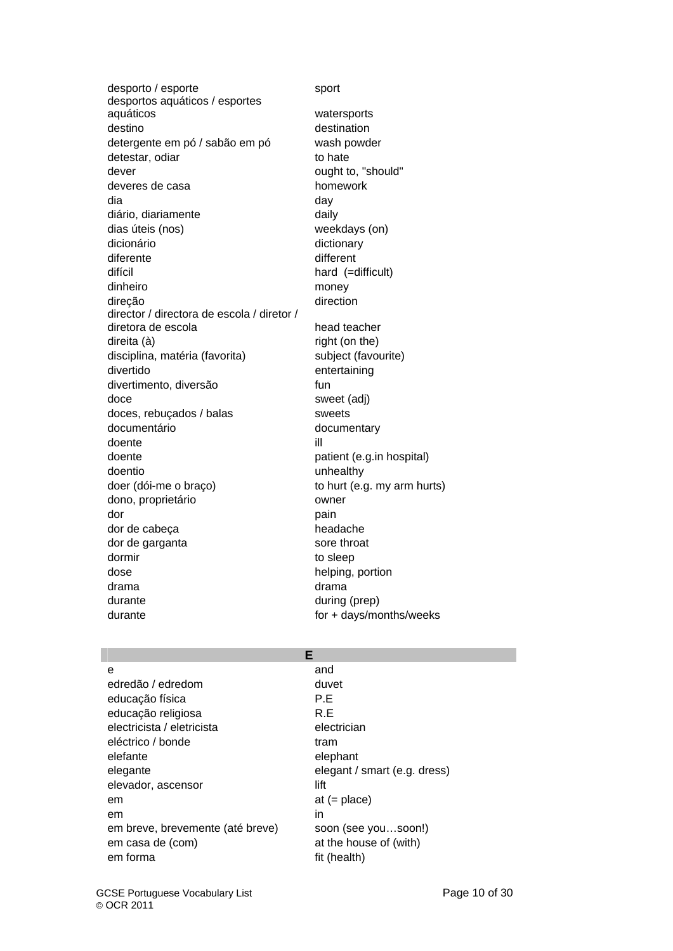desporto / esporte sport desportos aquáticos / esportes aquáticos watersports destino destination detergente em pó / sabão em pó wash powder detestar, odiar to hate dever dever ought to, "should" deveres de casa homework dia day diário, diariamente daily dias úteis (nos) weekdays (on) dicionário dictionary diferente different difícil hard (=difficult) dinheiro money direção direction director / directora de escola / diretor / diretora de escola head teacher direita (à) control direita (à) control direita (à) quatre direita (on the) direita (on the model of the model of the model of the model of the model of the model of the model of the model of the model of the model of the disciplina, matéria (favorita) subject (favourite) divertido entertaining divertimento, diversão fun doce sweet (adj) doces, rebuçados / balas sweets documentário documentary doente ill doente **patient** (e.g.in hospital) doentio unhealthy doer (dói-me o braço) to hurt (e.g. my arm hurts) dono, proprietário **como extraordinary como extraordinary como extraordinary como extraordinary como extraordinary como extraordinary como extraordinary como extraordinary como extraordinary como extraordinary como extraor** dor **pain** dor de cabeça headache dor de garganta sore throat dormir to sleep dose helping, portion drama drama durante during (prep)

durante durante for + days/months/weeks

# **E**

| e                                | and                          |
|----------------------------------|------------------------------|
| edredão / edredom                | duvet                        |
| educação física                  | P.E                          |
| educação religiosa               | R.E                          |
| electricista / eletricista       | electrician                  |
| eléctrico / bonde                | tram                         |
| elefante                         | elephant                     |
| elegante                         | elegant / smart (e.g. dress) |
| elevador, ascensor               | lift                         |
| em                               | at $(=$ place)               |
| em                               | in                           |
| em breve, brevemente (até breve) | soon (see yousoon!)          |
| em casa de (com)                 | at the house of (with)       |
| em forma                         | fit (health)                 |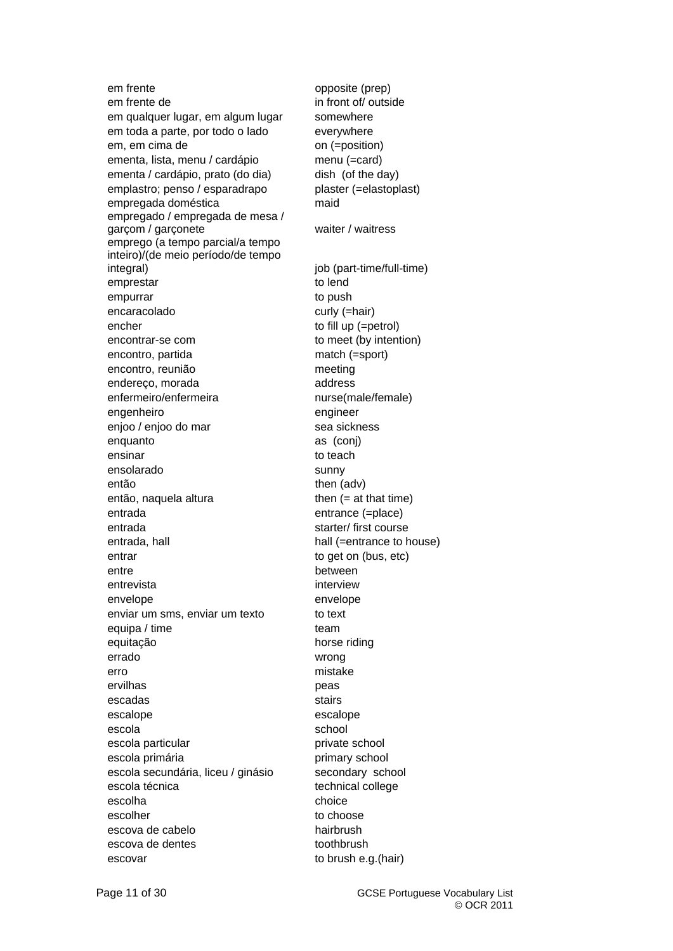em frente opposite (prep) em frente de in front of/ outside em qualquer lugar, em algum lugar somewhere em toda a parte, por todo o lado everywhere em, em cima de on (=position) ementa, lista, menu / cardápio menu (=card) ementa / cardápio, prato (do dia) dish (of the day) emplastro; penso / esparadrapo plaster (=elastoplast) empregada doméstica maid empregado / empregada de mesa / garçom / garçonete waiter / waiter / waitress emprego (a tempo parcial/a tempo inteiro)/(de meio período/de tempo integral) integral integral integral integral integral integral integral integral integral integral integral integral integral integral integral integral integral integral integral integral integral integral integral integ emprestar to lend empurrar to push encaracolado curly (=hair) encher to fill up (=petrol) encontrar-se com to meet (by intention) encontro, partida match (=sport) encontro, reunião meeting endereco, morada address enfermeiro/enfermeira nurse(male/female) engenheiro engineer enjoo / enjoo do mar sea sickness enquanto as (conj) ensinar to teach ensolarado sunny então then (adv) então, naquela altura then (= at that time) entrada entrance (=place) entrada starter/ first course entrada, hall hall (=entrance to house) entrar to get on (bus, etc) entre between entrevista interview envelope envelope enviar um sms, enviar um texto to text equipa / time team equitação horse riding errado wrong erro mistake ervilhas **peas** escadas stairs stairs escalope escalope escalope escalope escalope escalope escalope escalope escalope escalope escalope escalope escalope escalope escalope escalope escalope escalope escalope escalope escalope escalope escalope escalope escalo escola school school escola particular escola private school escola primária **primary school** escola secundária, liceu / ginásio secondary school escola técnica technical college escolha choice choice escolher to choose to choose escova de cabelo hairbrush escova de dentes toothbrush escovar to brush e.g.(hair)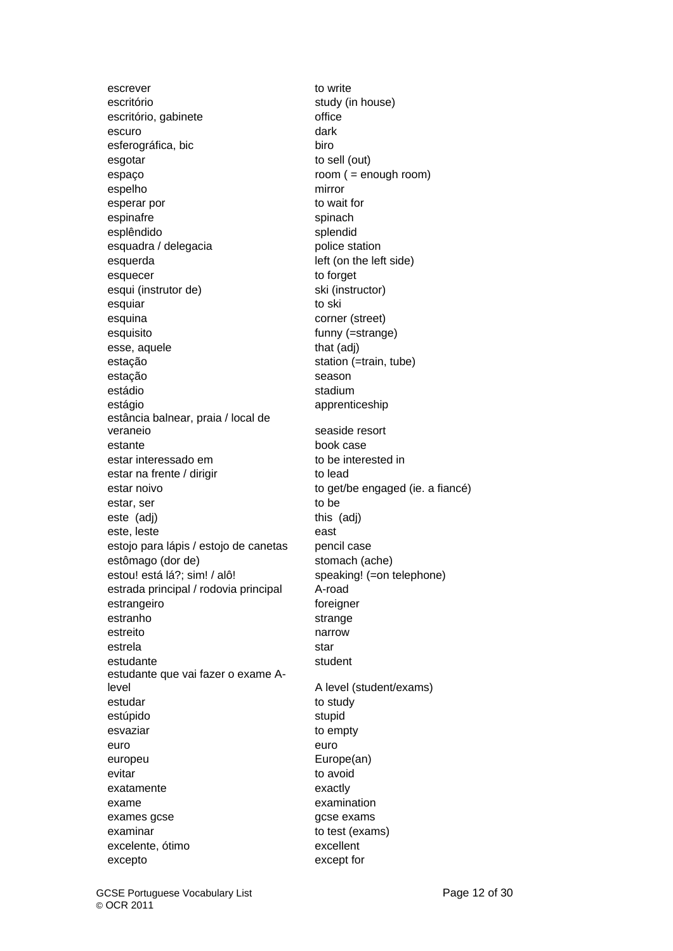escrever to write escritório study (in house) escritório, gabinete **office** office escuro dark esferográfica, bic biro esgotar to sell (out) espaço room ( = enough room) espelho mirror esperar por to wait for espinafre spinach esplêndido splendid esquadra / delegacia police station esquerda left (on the left side) esquecer to forget esqui (instrutor de) ski (instructor) esquiar to ski esquina corner (street) esquisito funny (=strange) esse, aquele that (adj) estação station (=train, tube) estação season estádio stadium estágio apprenticeship estância balnear, praia / local de veraneio seaside resort estante book case estar interessado em to be interested in estar na frente / dirigir to lead estar noivo to get/be engaged (ie. a fiancé) estar, ser to be to be to be to be to be to be to be to be to be to be to be to be to be to be to be to be to be to be to be to be to be to be to be to be to be to be to be to be to be to be to be to be to be to be to be t este (adj) and this (adj) este, leste east estojo para lápis / estojo de canetas pencil case estômago (dor de) stomach (ache) estou! está lá?; sim! / alô! speaking! (=on telephone) estrada principal / rodovia principal A-road estrangeiro **foreigner** foreigner estranho strange estreito narrow estrela star estudante student estudante que vai fazer o exame Alevel a level (student/exams) estudar to study to study estúpido stupid esvaziar entrance to empty euro euro europeu Europe(an) evitar to avoid exatamente exactly exame examination exames gcse gcse gcse exams examinar to test (exams) excelente, ótimo excellent excepto except for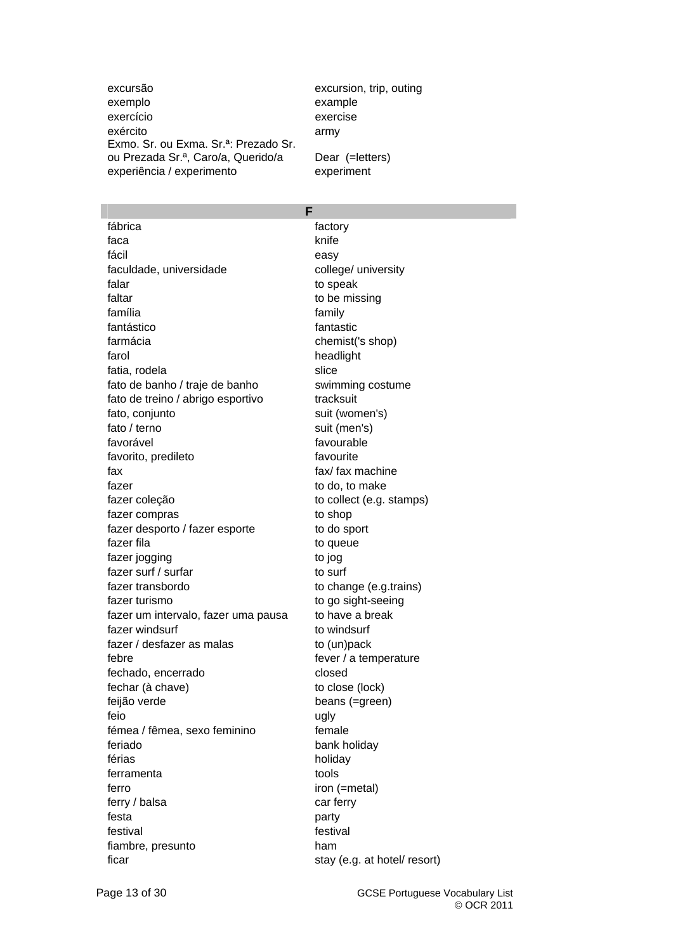excursão excursion, trip, outing exemplo example exercício exercise exército army Exmo. Sr. ou Exma. Sr.ª: Prezado Sr. ou Prezada Sr.ª, Caro/a, Querido/a Dear (=letters) experiência / experimento experiment

fábrica factory faca knife knife fácil easy faculdade, universidade college/ university falar to speak faltar to be missing família family fantástico fantastic farmácia chemist('s shop) farol **headlight** fatia, rodela slice fato de banho / traje de banho swimming costume fato de treino / abrigo esportivo tracksuit fato, conjunto suit (women's) fato / terno suit (men's) favorável favourable favorito, predileto favourite fax fax/ fax machine fazer to do, to make fazer coleção to collect (e.g. stamps) fazer compras to shop fazer desporto / fazer esporte to do sport fazer fila to queue fazer jogging to jogging to jogging to jogging to jogging to jogging to jogging to jogging to jogging to jogging to jogging to jogging to jogging to jogging to jogging to jogging to jogging to jogging to jogging to jogging fazer surf / surfar to surf fazer transbordo to change (e.g.trains) fazer turismo to go sight-seeing fazer um intervalo, fazer uma pausa to have a break fazer windsurf to windsurf fazer / desfazer as malas to (un)pack febre fever / a temperature fechado, encerrado closed fechar (à chave) to close (lock) feijão verde beans (=green) feio ugly fémea / fêmea, sexo feminino female feriado bank holiday férias holiday ferramenta tools ferro iron (=metal) ferry / balsa car ferry festa **party** festival festival fiambre, presunto ham ficar stay (e.g. at hotel/ resort)

**F**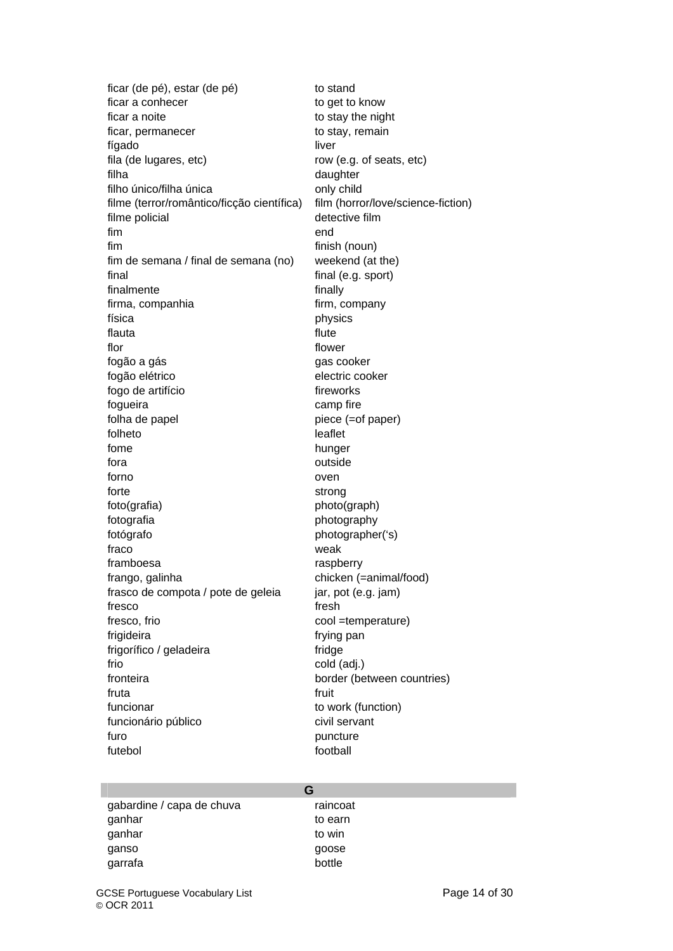ficar (de pé), estar (de pé) to stand ficar a conhecer to get to know ficar a noite to stay the night ficar, permanecer to stay, remain fígado liver fila (de lugares, etc) row (e.g. of seats, etc) filha daughter filho único/filha única **only child** filme (terror/romântico/ficção científica) film (horror/love/science-fiction) filme policial detective film fim end fim finish (noun) fim de semana / final de semana (no) weekend (at the) final final (e.g. sport) finalmente finally firma, companhia firm, company física physics flauta flute flute flor flower fogão a gás gas cooker fogão elétrico electric cooker fogo de artifício fireworks fogueira **camp** fire folha de papel piece (=of paper) folheto leaflet fome hunger fora **outside** forno oven forte strong strong foto(grafia) photo(graph) fotografia photography fotógrafo photographer('s) fraco weak framboesa **raspberry** frango, galinha chicken (=animal/food) frasco de compota / pote de geleia jar, pot (e.g. jam) fresco fresh fresco, frio cool =temperature) frigideira **francesa** frying pan frigorífico / geladeira fridge frio cold (adj.) fronteira border (between countries) fruta fruit funcionar to work (function) funcionário público civil servant furo **puncture** futebol **futebol** football

| G                         |          |
|---------------------------|----------|
| gabardine / capa de chuva | raincoat |
| ganhar                    | to earn  |
| ganhar                    | to win   |
| ganso                     | goose    |
| garrafa                   | bottle   |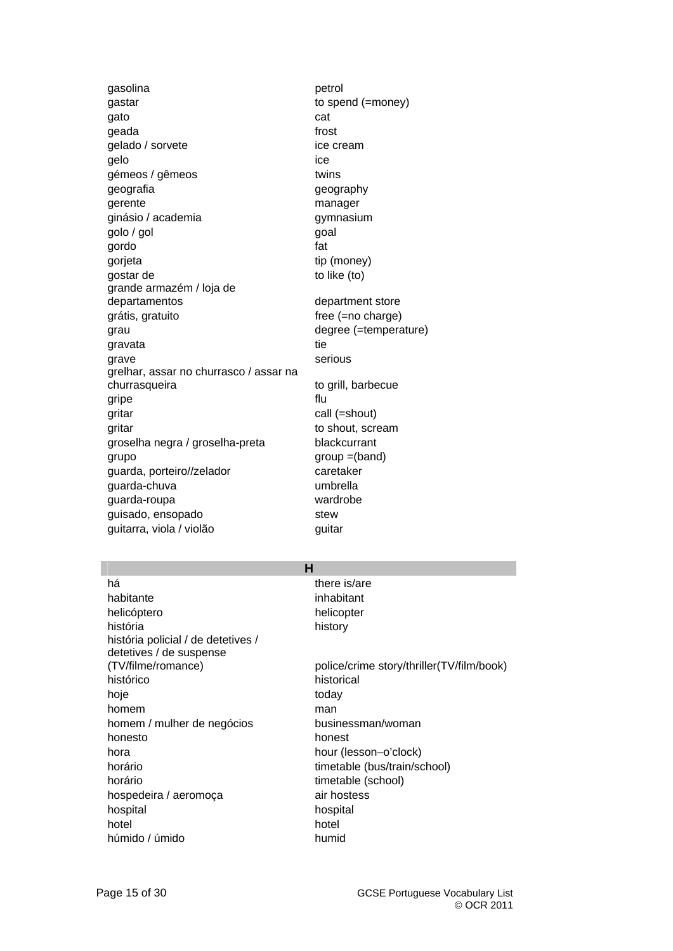gasolina **petrol** gastar distribution of the spend (=money) gato cat care and category of the category of the category of the category of the category of the category of the category of the category of the category of the category of the category of the category of the category of geada **from the set of the set of the set of the set of the set of the set of the set of the set of the set of the set of the set of the set of the set of the set of the set of the set of the set of the set of the set of t** gelado / sorvete ice cream gelo ice gémeos / gêmeos twins geografia geography gerente manager ginásio / academia gymnasium golo / gol **goal** gordo fat gorjeta tip (money) gostar de to like (to) grande armazém / loja de departamentos department store grátis, gratuito free (=no charge) grau degree (=temperature) gravata tie grave serious grelhar, assar no churrasco / assar na churrasqueira to grill, barbecue gripe flu gritar call (=shout) gritar extension of the shout, scream of the shout, scream of the shout, scream of the shout, scream groselha negra / groselha-preta blackcurrant grupo group =(band) guarda, porteiro//zelador caretaker guarda-chuva umbrella guarda-roupa wardrobe guisado, ensopado stew guitarra, viola / violão quitar

# **H**

há there is/are habitante inhabitant helicóptero helicopter história history história policial / de detetives / detetives / de suspense histórico historical hoje today homem man man homem / mulher de negócios businessman/woman honesto honest hora hour (lesson–o'clock) horário timetable (bus/train/school) horário timetable (school) hospedeira / aeromoça air hostess hospital hospital hotel hotel húmido / úmido humid

(TV/filme/romance) police/crime story/thriller(TV/film/book)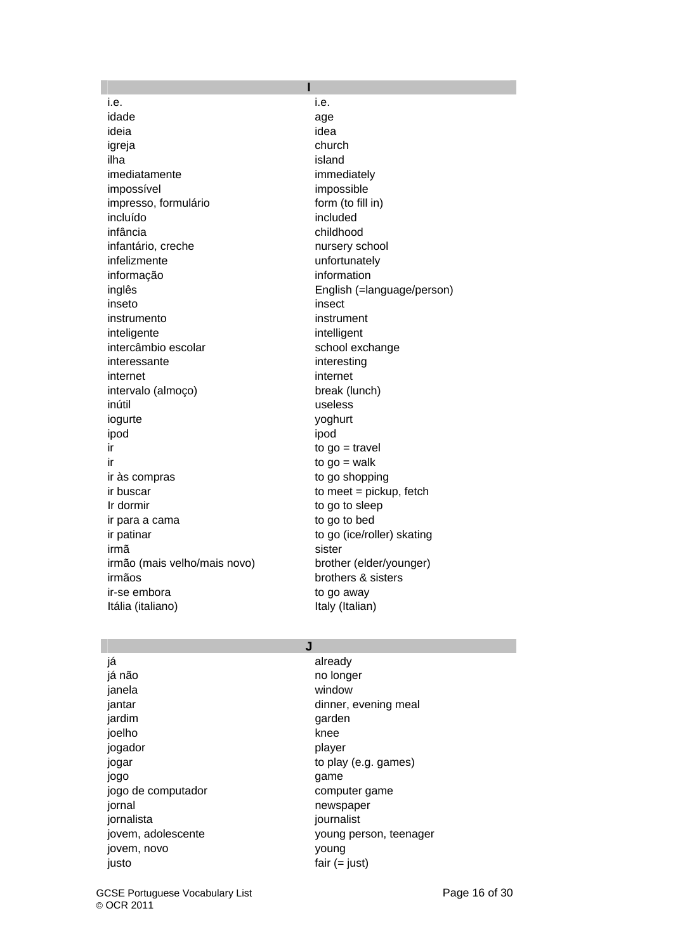i.e. i.e. idade age ideia idea igreja church ilha island imediatamente immediately impossível impossible impresso, formulário form (to fill in) incluído included infância childhood infantário, creche nursery school infelizmente unfortunately informação information inseto insect instrumento instrument inteligente intelligent intercâmbio escolar school exchange interessante interesting internet internet intervalo (almoço) break (lunch) inútil useless iogurte yoghurt ipod ipod ir to go = travel ir to go = walk ir às compras to go shopping ir buscar to meet = pickup, fetch Ir dormir to go to sleep ir para a cama to go to bed ir patinar to go (ice/roller) skating irmã sister irmão (mais velho/mais novo) brother (elder/younger) irmãos brothers & sisters ir-se embora to go away Itália (italiano) **Italy (Italian)** 

**I**  inglês English (=language/person)

## **J**

já **already** já não no longer janela window jardim garden joelho knee jogador **player** jogo game jogo de computador computer game iornal newspaper jornalista journalist jovem, novo young justo fair (= just)

jantar dinner, evening meal jogar to play (e.g. games) jovem, adolescente voung person, teenager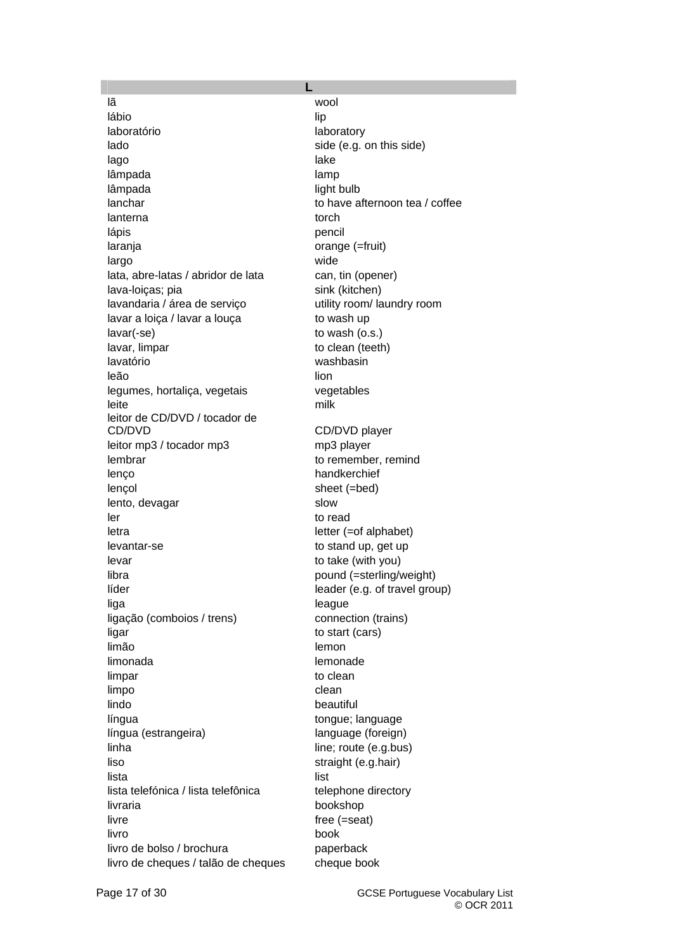lã wool lábio de la contrata de la contrata de la contrata de la contrata de la contrata de la contrata de l laboratório laboratory lado side (e.g. on this side) lago lake lake lake lake lâmpada lamp lamp lâmpada light bulb lanchar to have afternoon tea / coffee lanterna torch lápis pencil laranja orange (=fruit) largo wide lata, abre-latas / abridor de lata can, tin (opener) lava-loiças; pia sink (kitchen) lavandaria / área de serviço utility room/ laundry room lavar a loiça / lavar a louça to wash up lavar(-se) to wash (o.s.) lavar, limpar to clean (teeth) lavatório washbasin leão de la contrada de libro de libro de libro de libro de libro de libro de libro de libro de libro de libro legumes, hortaliça, vegetais vegetables leite milk leitor de CD/DVD / tocador de CD/DVD CD/DVD player leitor mp3 / tocador mp3 mp3 player lembrar to remember, remind lenço handkerchief lençol sheet (=bed) lento, devagar slow ler to read letra letter (=of alphabet) levantar-se to stand up, get up levar to take (with you) libra pound (=sterling/weight) líder leader (e.g. of travel group) liga league ligação (comboios / trens) connection (trains) ligar to start (cars) limão e contra contra e contra lemon limonada lemonade limpar to clean limpo clean lindo beautiful língua tongue; language língua (estrangeira) language (foreign) linha line; route (e.g.bus) liso straight (e.g.hair) lista di controlle della controlle della controlle della controlle della controlle della controlle della contro lista telefónica / lista telefônica telephone directory livraria bookshop livre free (=seat) livro book livro de bolso / brochura paperback livro de cheques / talão de cheques cheque book

**L**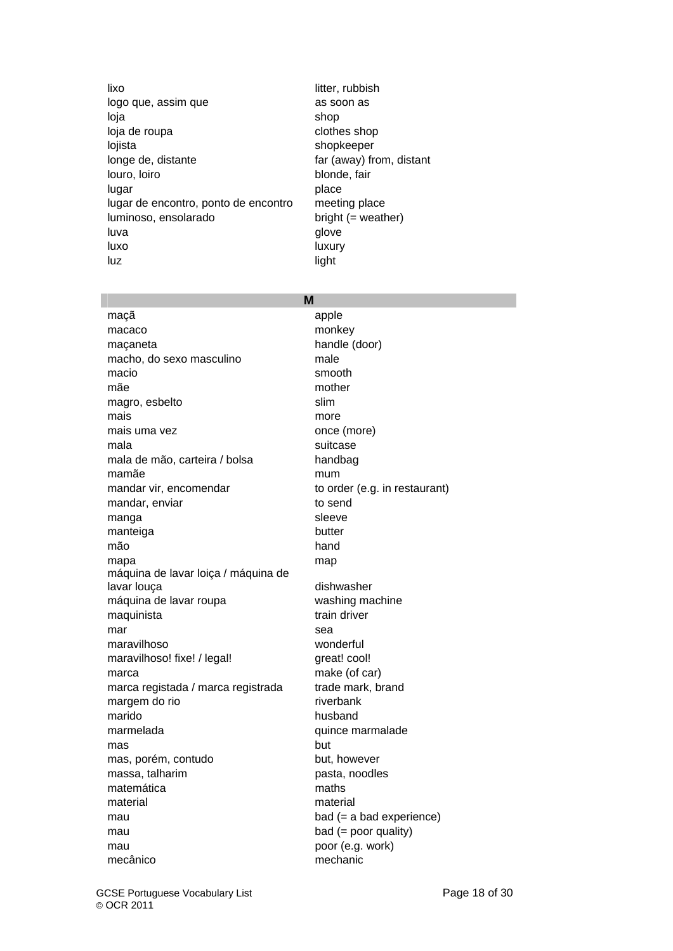lixo litter, rubbish logo que, assim que as soon as loja shop loja de roupa clothes shop lojista shopkeeper longe de, distante far (away) from, distant louro, loiro blonde, fair lugar place place lugar de encontro, ponto de encontro meeting place luminoso, ensolarado bright (= weather) luva qlove luxo luxury luz light

### **M**

maçã apple macaco monkey maçaneta handle (door) macho, do sexo masculino male macio smooth mãe mother magro, esbelto slim mais more more mais uma vez once (more) mala suitcase mala de mão, carteira / bolsa handbag mamãe mum mandar vir, encomendar to order (e.g. in restaurant) mandar, enviar to send manga sleeve manteiga butter mão hand mapa mapa mapangan na mapangangan na mapangan na mapangan na mapangan na mapangan na mapangan na mapangan na ma máquina de lavar loiça / máquina de lavar louça dishwasher máquina de lavar roupa washing machine maquinista train driver mar sea maravilhoso wonderful maravilhoso! fixe! / legal! great! cool! marca make (of car) marca registada / marca registrada trade mark, brand margem do rio riverbank marido husband marmelada quince marmalade mas but mas, porém, contudo but, however massa, talharim pasta, noodles matemática maths material material material mau bad (= a bad experience) mau bad (= poor quality) mau poor (e.g. work) mecânico mechanic

GCSE Portuguese Vocabulary List **Page 18 of 30** Page 18 of 30 © OCR 2011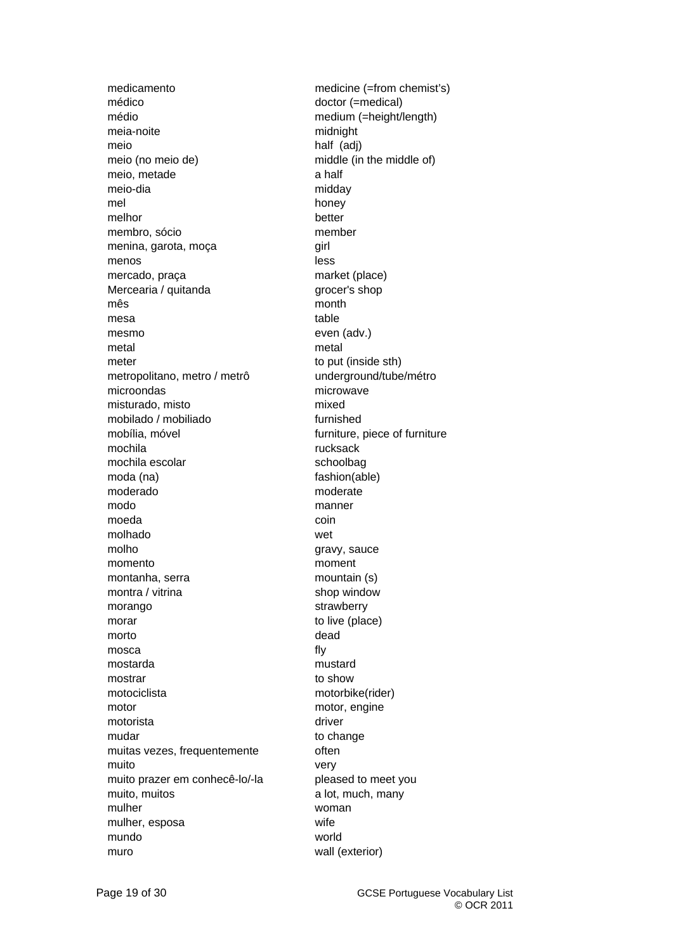médico doctor (=medical) médio medium (=height/length) meia-noite midnight meio half (adj) meio (no meio de) middle (in the middle of) meio, metade a half meio-dia midday mel honey melhor better membro, sócio member menina, garota, moça qirl menos less mercado, praça market (place) Mercearia / quitanda grocer's shop mês month mesa table mesmo even (adv.) metal metal meter to put (inside sth) metropolitano, metro / metrô underground/tube/métro microondas microwave misturado, misto mixed mobilado / mobiliado furnished mobília, móvel furniture, piece of furniture mochila **rucksack** mochila escolar schoolbag moda (na) fashion(able) moderado moderate modo manner moeda coin molhado wet molho gravy, sauce momento moment montanha, serra mountain (s) montra / vitrina shop window morango strawberry morar to live (place) morto dead mosca fly mostarda mustard mostrar to show motociclista motorbike(rider) motor motor, engine motorista driver mudar to change muitas vezes, frequentemente **contrarely** often muito very muito prazer em conhecê-lo/-la pleased to meet you muito, muitos a lot, much, many mulher woman mulher, esposa wife mundo world muro wall (exterior)

medicamento medicine (=from chemist's)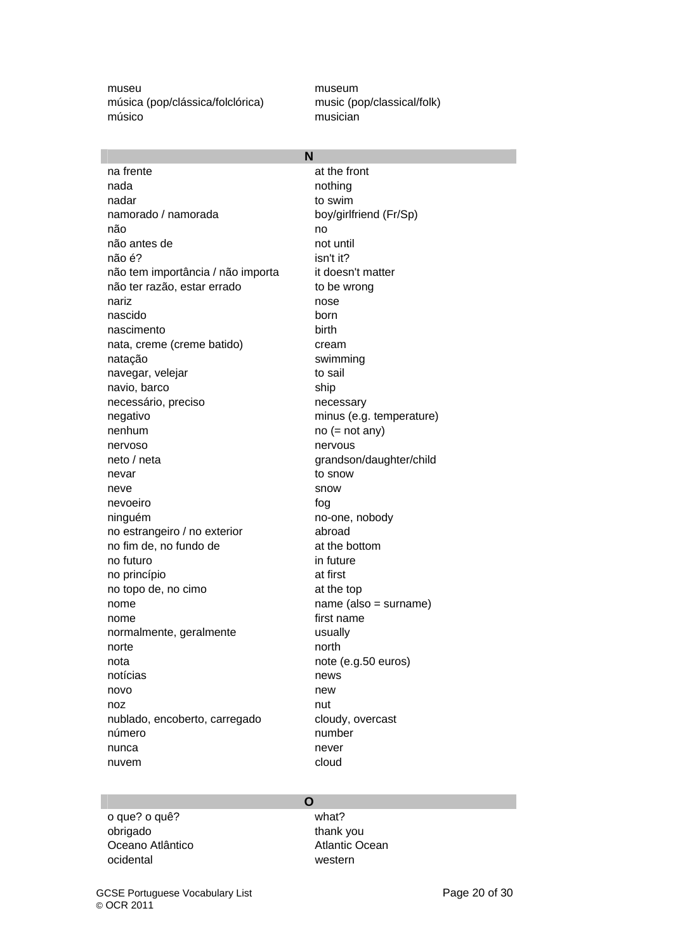museu museum museum música (pop/clássica/folclórica) music (pop/classical/folk) músico musician

| N                                 |                          |  |
|-----------------------------------|--------------------------|--|
| na frente                         | at the front             |  |
| nada                              | nothing                  |  |
| nadar                             | to swim                  |  |
| namorado / namorada               | boy/girlfriend (Fr/Sp)   |  |
| não                               | no                       |  |
| não antes de                      | not until                |  |
| não é?                            | isn't it?                |  |
| não tem importância / não importa | it doesn't matter        |  |
| não ter razão, estar errado       | to be wrong              |  |
| nariz                             | nose                     |  |
| nascido                           | born                     |  |
| nascimento                        | birth                    |  |
| nata, creme (creme batido)        | cream                    |  |
| natação                           | swimming                 |  |
| navegar, velejar                  | to sail                  |  |
| navio, barco                      | ship                     |  |
| necessário, preciso               | necessary                |  |
| negativo                          | minus (e.g. temperature) |  |
| nenhum                            | $no (= not any)$         |  |
| nervoso                           | nervous                  |  |
| neto / neta                       | grandson/daughter/child  |  |
| nevar                             | to snow                  |  |
| neve                              | snow                     |  |
| nevoeiro                          | fog                      |  |
| ninguém                           | no-one, nobody           |  |
| no estrangeiro / no exterior      | abroad                   |  |
| no fim de, no fundo de            | at the bottom            |  |
| no futuro                         | in future                |  |
| no princípio                      | at first                 |  |
| no topo de, no cimo               | at the top               |  |
| nome                              | $name (also = sumame)$   |  |
| nome                              | first name               |  |
| normalmente, geralmente           | usually                  |  |
| norte                             | north                    |  |
| nota                              | note (e.g.50 euros)      |  |
| notícias                          | news                     |  |
| novo                              | new                      |  |
| noz                               | nut                      |  |
| nublado, encoberto, carregado     | cloudy, overcast         |  |
| número                            | number                   |  |
| nunca                             | never                    |  |
| nuvem                             | cloud                    |  |

o que? o quê? what? obrigado thank you Oceano Atlântico **Atlantic Ocean** ocidental western

**O**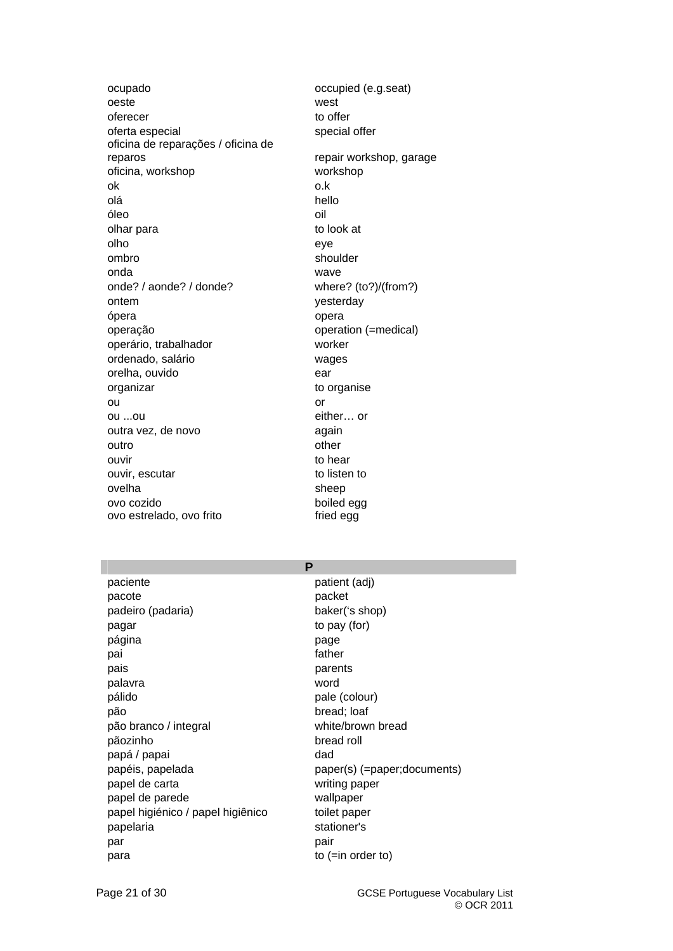ocupado occupied (e.g.seat) oeste west oferecer to offer oferta especial special special offer oficina de reparações / oficina de reparos repair workshop, garage oficina, workshop workshop ok o.k olá hello óleo oil olhar para to look at olho eye ombro shoulder onda wave onde? / aonde? / donde? where? (to?)/(from?) ontem vesterday ópera opera operação operation (=medical) operário, trabalhador worker ordenado, salário wages orelha, ouvido ear organizar to organise ou or a contract of the contract of the contract of the contract of the contract of the contract of the contract of the contract of the contract of the contract of the contract of the contract of the contract of the contra ou ...ou either… or outra vez, de novo antico estado again outro **outro** other **other** ouvir to hear ouvir, escutar to listen to listen to ovelha sheep ovo cozido boiled egg ovo estrelado, ovo frito fried egg

paciente **pacient** patient (adj) pacote **packet** padeiro (padaria) baker('s shop) pagar to pay (for) página **page** pai **father** pais **pais** parents palavra word pálido pale (colour) pão bread; loaf pão branco / integral white/brown bread pãozinho bread roll papá / papai dad papel de carta writing paper papel de parede wallpaper papel higiénico / papel higiênico toilet paper papelaria stationer's par pair pair and pair and pair and pair and pair  $\mathbf{p}$ para to (=in order to)

**P**  papéis, papelada paper(s) (=paper;documents)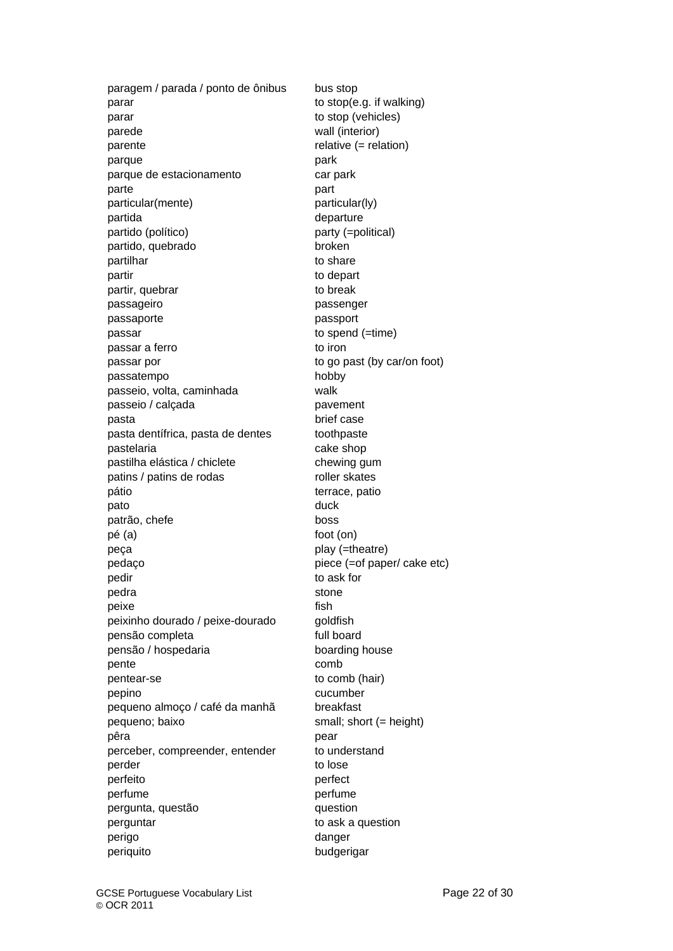paragem / parada / ponto de ônibus bus stop parar to stop(e.g. if walking) parar to stop (vehicles) parede wall (interior) parente relative (= relation) parque **particle** park parque de estacionamento car park parte **parte** part particular(mente) particular(ly) partida departure partido (político) party (=political) partido, quebrado broken partilhar to share to share partir to depart to depart partir, quebrar to break passageiro passenger passaporte passport passar bases based (=time) passar a ferro to iron to iron passar por to go past (by car/on foot) passatempo hobby passeio, volta, caminhada walk passeio / calçada pavement pasta brief case pasta dentífrica, pasta de dentes toothpaste pastelaria cake shop pastilha elástica / chiclete chewing gum patins / patins de rodas roller skates pátio de la contracturación de la contracturación de la contracturación de la contracturación de la contracturación de la contracturación de la contracturación de la contracturación de la contracturación de la contracturac pato duck and duck patrão, chefe boss pé (a) foot (on) peça peça play (=theatre) pedaço piece (=of paper/ cake etc) pedir to ask for pedra stone stone peixe fish peixinho dourado / peixe-dourado goldfish pensão completa full board pensão / hospedaria boarding house pente comb pentear-se to comb (hair) pepino cucumber pequeno almoço / café da manhã breakfast pequeno; baixo small; short (= height) pêra pear perceber, compreender, entender to understand perder to lose perfeito perfect perfume **perfume** pergunta, questão question perguntar to ask a question perigo danger periquito budgerigar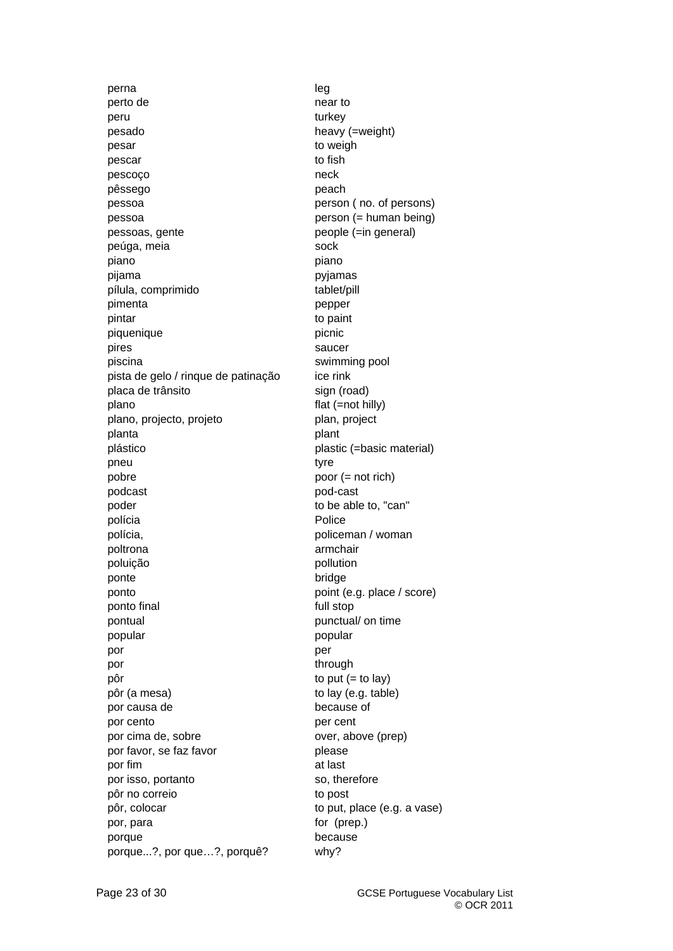perna leg perto de near to near to peru turkey pesado heavy (=weight) pesar to weigh pescar to fish pescoço eneck pêssego peach pessoa person ( no. of persons) pessoa person (= human being) pessoas, gente entre people (=in general) peúga, meia sock piano piano pijama pyjamas pílula, comprimido tablet/pill pimenta **performance** pepper pintar to paint piquenique **picalitative** picnic pires saucer piscina swimming pool pista de gelo / rinque de patinação ice rink placa de trânsito sign (road) plano flat (=not hilly) plano, projecto, projeto plan, project planta **planta** plant plástico plastic (=basic material) pneu tyre pobre poor (= not rich) podcast pod-cast poder to be able to, "can" polícia **Police** polícia, policeman / woman poltrona armchair armchair poluição pollution ponte bridge ponto point (e.g. place / score) ponto final and the state of the full stop pontual punctual punctual punctual punctual punctual punctual  $\sim$  punctual punctual punctual punctual punctual  $\sim$  punctual punctual punctual punctual punctual punctual punctual punctual punctual punctual punctual punctu popular popular por **por** per por through through through the state of the state of the state of the state of the state of the state of the state of the state of the state of the state of the state of the state of the state of the state of the state of pôr to put (= to lay) pôr (a mesa) to lay (e.g. table) por causa de because of por cento per cent por cima de, sobre over, above (prep) por favor, se faz favor **please** por fim at last por isso, portanto so, therefore pôr no correio to post pôr, colocar to put, place (e.g. a vase) por, para for (prep.) porque because porque...?, por que…?, porquê? why?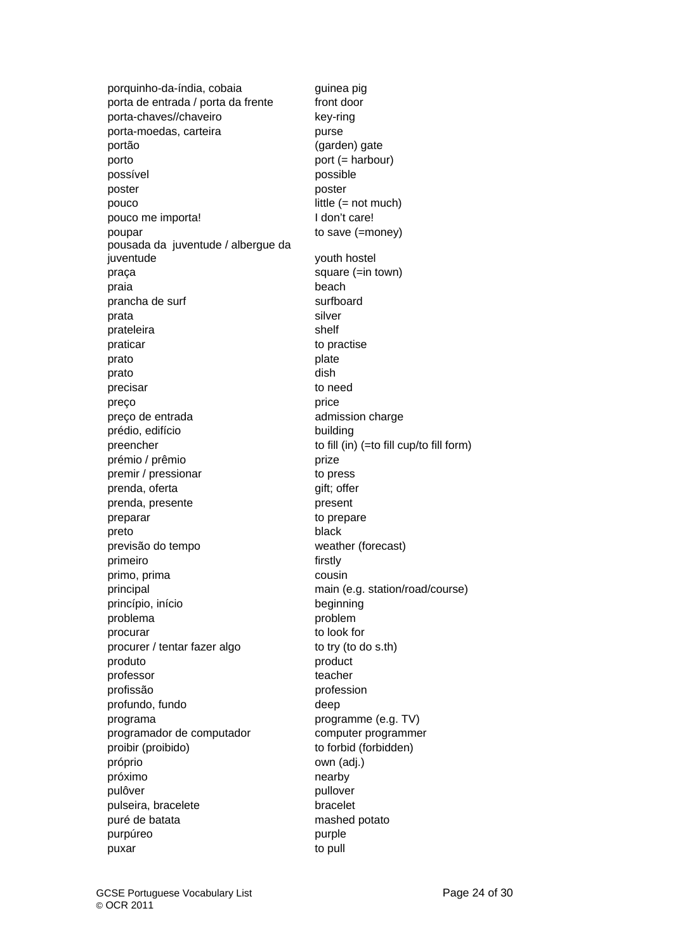porquinho-da-índia, cobaia guinea pig porta de entrada / porta da frente front door porta-chaves//chaveiro key-ring porta-moedas, carteira **purse** purse portão (garden) gate porto port (= harbour) possível possible poster **poster poster** pouco little (= not much) pouco me importa! I don't care! poupar to save (=money) pousada da juventude / albergue da juventude youth hostel praça square (=in town) praia beach beach beach beach beach beach beach beach beach beach beach beach beach beach beach beach beach beach beach beach beach beach beach beach beach beach beach beach beach beach beach beach beach beach beach beach prancha de surf surfboard prata silver prateleira shelf praticar to practise prato plate plate plate prato dish precisar to need preço price preço de entrada admission charge prédio, edifício building preencher to fill (in) (=to fill cup/to fill form) prémio / prêmio prize premir / pressionar to press prenda, oferta **gift**; offer prenda, presente presente presente presente presente presente presente presente a presente presente a presente  $p$ preparar to prepare preto black previsão do tempo weather (forecast) primeiro firstly primo, prima cousin principal main (e.g. station/road/course) princípio, início beginning problema problem procurar to look for procurer / tentar fazer algo to try (to do s.th) produto product professor **teacher** profissão profession profundo, fundo deep programa programme (e.g. TV) programador de computador computer programmer proibir (proibido) to forbid (forbidden) próprio own (adj.) próximo nearby pulôver pullover pulseira, bracelete bracelet puré de batata mashed potato purpúreo **purpured** purple puxar to pull a state of the pull and the pull of the pull and the pull and the pull and the pull and the pull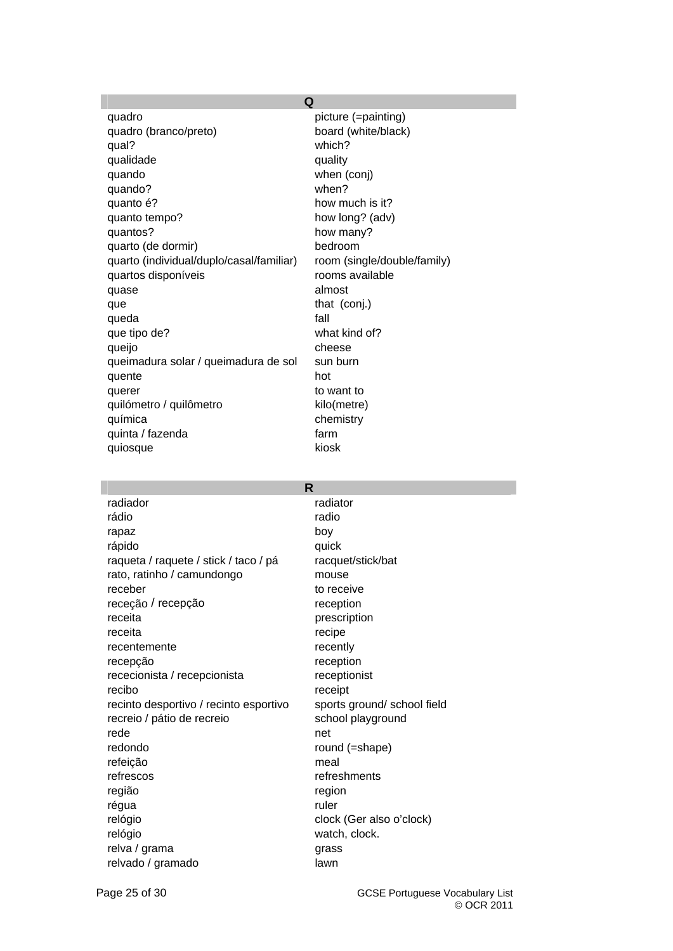|                                          | Q                           |
|------------------------------------------|-----------------------------|
| quadro                                   | picture (=painting)         |
| quadro (branco/preto)                    | board (white/black)         |
| qual?                                    | which?                      |
| qualidade                                | quality                     |
| quando                                   | when (conj)                 |
| quando?                                  | when?                       |
| quanto é?                                | how much is it?             |
| quanto tempo?                            | how long? (adv)             |
| quantos?                                 | how many?                   |
| quarto (de dormir)                       | bedroom                     |
| quarto (individual/duplo/casal/familiar) | room (single/double/family) |
| quartos disponíveis                      | rooms available             |
| quase                                    | almost                      |
| que                                      | that (conj.)                |
| queda                                    | fall                        |
| que tipo de?                             | what kind of?               |
| queijo                                   | cheese                      |
| queimadura solar / queimadura de sol     | sun burn                    |
| quente                                   | hot                         |
| querer                                   | to want to                  |
| quilómetro / quilômetro                  | kilo(metre)                 |
| química                                  | chemistry                   |
| quinta / fazenda                         | farm                        |
| quiosque                                 | kiosk                       |

| R                                      |                             |
|----------------------------------------|-----------------------------|
| radiador                               | radiator                    |
| rádio                                  | radio                       |
| rapaz                                  | boy                         |
| rápido                                 | quick                       |
| raqueta / raquete / stick / taco / pá  | racquet/stick/bat           |
| rato, ratinho / camundongo             | mouse                       |
| receber                                | to receive                  |
| receção / recepção                     | reception                   |
| receita                                | prescription                |
| receita                                | recipe                      |
| recentemente                           | recently                    |
| recepção                               | reception                   |
| rececionista / recepcionista           | receptionist                |
| recibo                                 | receipt                     |
| recinto desportivo / recinto esportivo | sports ground/ school field |
| recreio / pátio de recreio             | school playground           |
| rede                                   | net                         |
| redondo                                | round (=shape)              |
| refeição                               | meal                        |
| refrescos                              | refreshments                |
| região                                 | region                      |
| régua                                  | ruler                       |
| relógio                                | clock (Ger also o'clock)    |
| relógio                                | watch, clock.               |
| relva / grama                          | grass                       |
| relvado / gramado                      | lawn                        |

I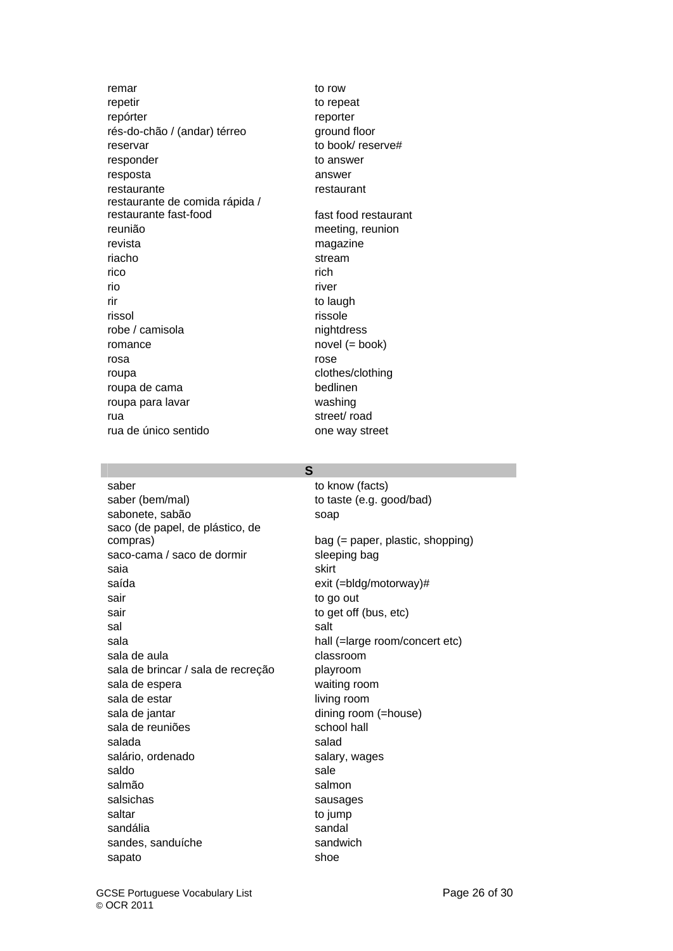remar to row to row repetir to repeat repórter reporter rés-do-chão / (andar) térreo ground floor reservar to book/ reserve# responder to answer resposta answer restaurante restaurant restaurante de comida rápida / restaurante fast-food fast food restaurant reunião meeting, reunion revista magazine riacho stream rico *rich* rich rio river rir to laugh the state of the state of the laugh to laugh the laugh state of the laugh state of the laugh state of the laugh state of the laugh state of the laugh state of the laugh state of the laugh state of the laugh st rissol rissole robe / camisola nightdress romance novel (= book) rosa rose roupa clothes/clothing roupa de cama bedlinen roupa para lavar washing rua street/ road rua de único sentido **contrar en la contrar en la contrar en la contrar en la contrar en la contrar en la contra** 

saber to know (facts) saber (bem/mal) saber (e.g. good/bad) sabonete, sabão soap soap saco (de papel, de plástico, de compras) bag (= paper, plastic, shopping) saco-cama / saco de dormir sleeping bag saia saia skirt saída exit (=bldg/motorway)# sair to go out sair to get off (bus, etc) sal salt sala hall (=large room/concert etc) sala de aula classroom sala de brincar / sala de recreção playroom sala de espera waiting room sala de estar living room sala de jantar dining room (=house) sala de reuniões school hall salada salada salada salada salada salada salada salada salada salada salada salada salada salada salada salad salário, ordenado salary, wages saldo sale sale sale sale salmão salmon salsichas sausages saltar to jump sandália **sandália** sandal sandes, sanduíche sandwich sapato shoe shoe

**S**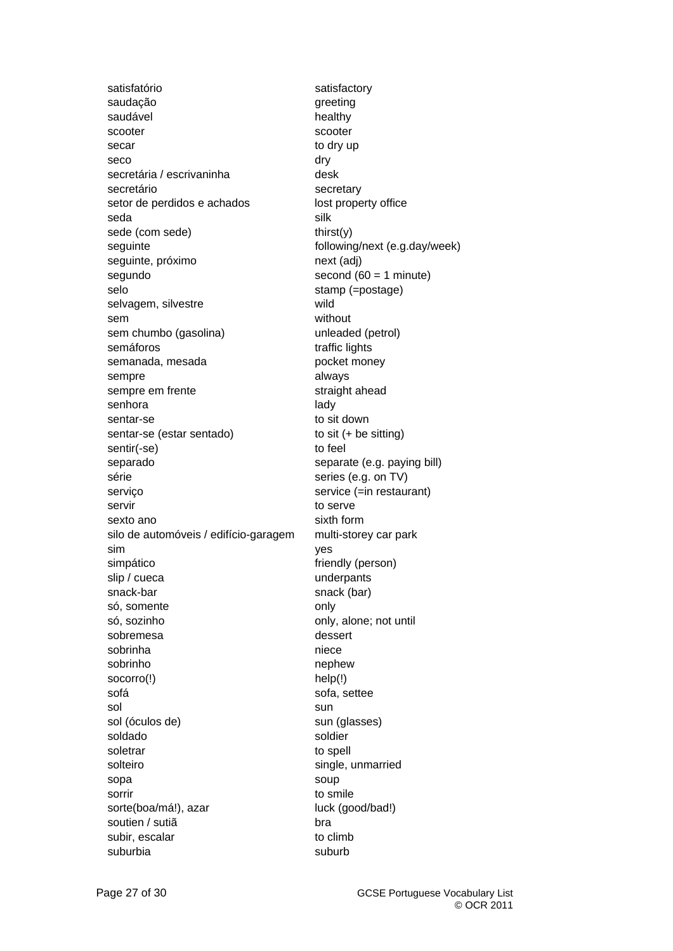satisfatório satisfactory saudação **greeting** saudável **healthy** scooter scooter scooter secar to dry up seco dry secretária / escrivaninha desk secretário secretary setor de perdidos e achados lost property office seda silk sede (com sede) thirst(y) seguinte following/next (e.g.day/week) seguinte, próximo next (adj) segundo second (60 = 1 minute) selo stamp (=postage) selvagem, silvestre wild sem without sem chumbo (gasolina) unleaded (petrol) semáforos **traffic** lights semanada, mesada pocket money sempre always sempre em frente straight ahead senhora and lady and lady and lady and lady and lady and lady and lady and lady and lady and lady and lady and lady and lady and lady and lady and lady and lady and lady and lady and lady and lady and lady and lady and lad sentar-se to sit down sentar-se (estar sentado) to sit (+ be sitting) sentir(-se) to feel separado separate (e.g. paying bill) série série series (e.g. on TV) serviço service (=in restaurant) servir to serve sexto ano sixth form silo de automóveis / edifício-garagem multi-storey car park sim yes simpático friendly (person) slip / cueca underpants snack-bar snack (bar) só, somente only só, sozinho **only**, alone; not until sobremesa dessert sobrinha niece sobrinho nephew socorro(!) help(!) sofá sofa, settee sol sun sol (óculos de) sun (glasses) soldado soldier soletrar to spell solteiro solteiro single, unmarried sopa soup soup soup sorrir to smile sorte(boa/má!), azar luck (good/bad!) soutien / sutiã bra subir, escalar to climb suburbia suburbia suburbia suburbia suburbia suburbia suburbia suburbia suburbia suburbia suburbia suburbia su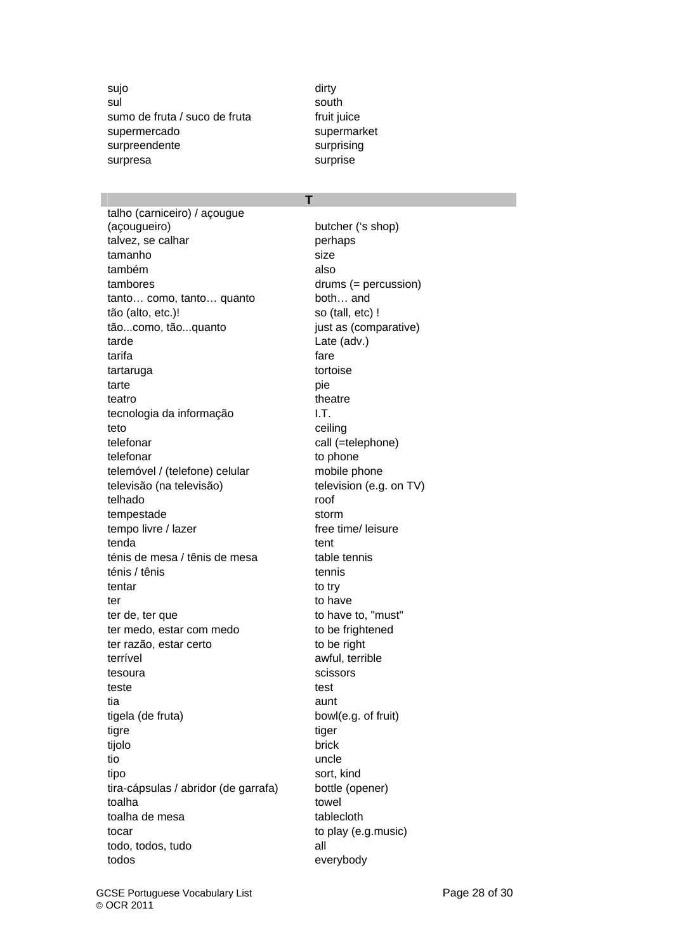sujo dirty dirty and the set of the set of the set of the set of the set of the set of the set of the set of t sul south and south south south and south south south and south south south and south south south and south and south  $\sim$ sumo de fruta / suco de fruta fruit juice supermercado supermarket surpreendente surprising surpresa surprise

**T** 

talho (carniceiro) / açougue (açougueiro) butcher ('s shop) talvez, se calhar perhaps tamanho size também also tambores drums (= percussion) tanto... como, tanto... quanto both... and tão (alto, etc.)! so (tall, etc) ! tão...como, tão...quanto iust as (comparative) tarde Late (adv.) tarifa **fare** tartaruga tortoise tarte pie teatro theatre theatre theatre tecnologia da informação I.T. teto ceiling telefonar call (=telephone) telefonar to phone telemóvel / (telefone) celular mobile phone televisão (na televisão) television (e.g. on TV) telhado roof tempestade storm tempo livre / lazer free time/ leisure tenda tent ténis de mesa / tênis de mesa table tennis ténis / tênis tennis tentar to try ter the to have to have ter de, ter que to to have to, "must" ter medo, estar com medo to be frightened ter razão, estar certo to be right terrível awful, terrible tesoura scissors scissors teste test tia aunt tigela (de fruta) bowl(e.g. of fruit) tigre tiger tiger tijolo brick tio uncle to the uncle that the uncle tipo sort, kind tira-cápsulas / abridor (de garrafa) bottle (opener) toalha towel toalha de mesa<br>
tablecloth to play (e.g. music) todo, todos, tudo all todos everybody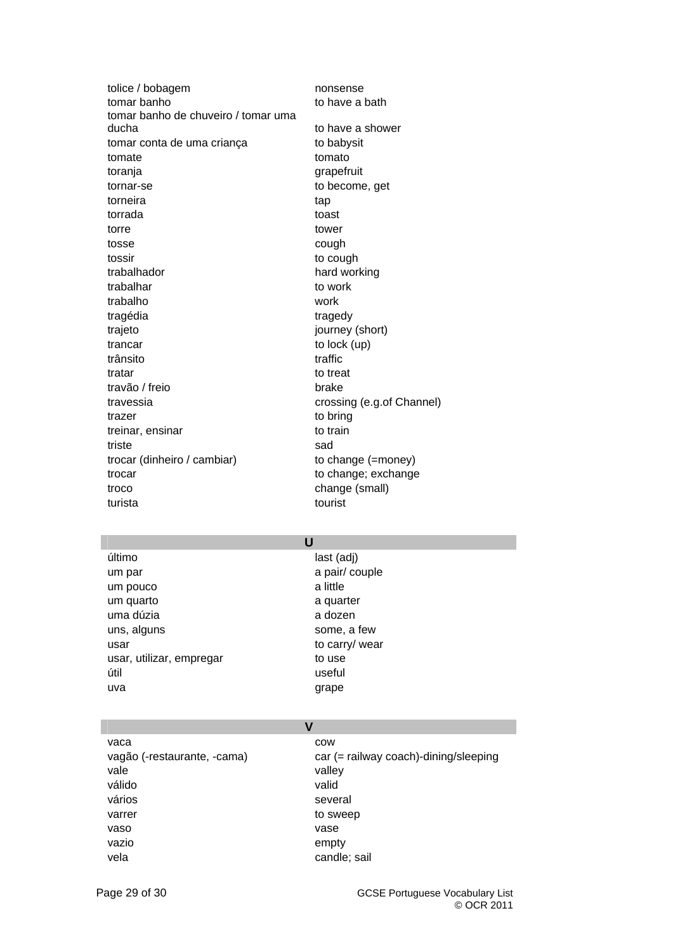| tolice / bobagem                    | nonsense                  |
|-------------------------------------|---------------------------|
| tomar banho                         | to have a bath            |
| tomar banho de chuveiro / tomar uma |                           |
| ducha                               | to have a shower          |
| tomar conta de uma criança          | to babysit                |
| tomate                              | tomato                    |
| toranja                             | grapefruit                |
| tornar-se                           | to become, get            |
| torneira                            | tap                       |
| torrada                             | toast                     |
| torre                               | tower                     |
| tosse                               | cough                     |
| tossir                              | to cough                  |
| trabalhador                         | hard working              |
| trabalhar                           | to work                   |
| trabalho                            | work                      |
| tragédia                            | tragedy                   |
| trajeto                             | journey (short)           |
| trancar                             | to lock (up)              |
| trânsito                            | traffic                   |
| tratar                              | to treat                  |
| travão / freio                      | brake                     |
| travessia                           | crossing (e.g.of Channel) |
| trazer                              | to bring                  |
| treinar, ensinar                    | to train                  |
| triste                              | sad                       |
| trocar (dinheiro / cambiar)         | to change (=money)        |
| trocar                              | to change; exchange       |
| troco                               | change (small)            |
| turista                             | tourist                   |
|                                     |                           |

### **U**

último last (adj) um par a pair/ couple um pouco a little a little um quarto a quarter uma dúzia a dozen uns, alguns some, a few usar to carry/ wear usar, utilizar, empregar to use útil useful uva qrape

# **V**

vaca cow vale value value value value value value value value value value value value value value value value value value v válido valid vários vários several varrer varret variable variable variable variable variable variable variable variable variable variable variable vaso vase vazio empty vela candle; sail

vagão (-restaurante, -cama) car (= railway coach)-dining/sleeping